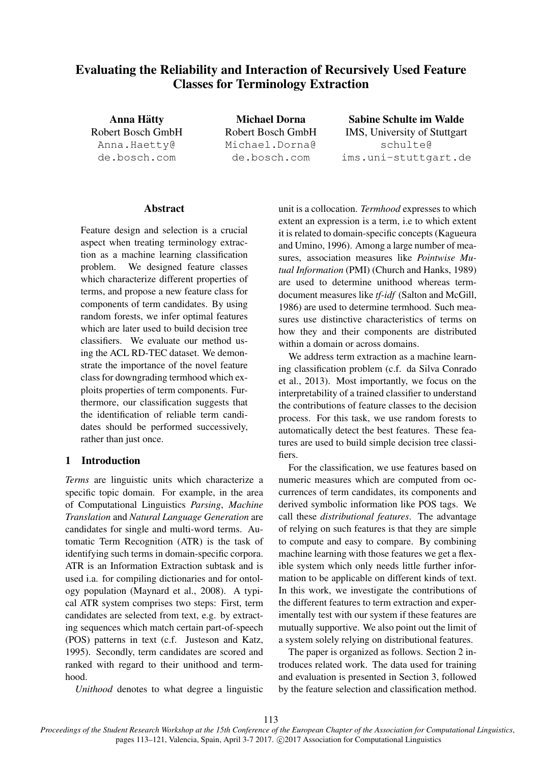# Evaluating the Reliability and Interaction of Recursively Used Feature Classes for Terminology Extraction

Anna Hatty ¨ Robert Bosch GmbH Anna.Haetty@ de.bosch.com

Michael Dorna Robert Bosch GmbH Michael.Dorna@ de.bosch.com

Sabine Schulte im Walde IMS, University of Stuttgart schulte@ ims.uni-stuttgart.de

# **Abstract**

Feature design and selection is a crucial aspect when treating terminology extraction as a machine learning classification problem. We designed feature classes which characterize different properties of terms, and propose a new feature class for components of term candidates. By using random forests, we infer optimal features which are later used to build decision tree classifiers. We evaluate our method using the ACL RD-TEC dataset. We demonstrate the importance of the novel feature class for downgrading termhood which exploits properties of term components. Furthermore, our classification suggests that the identification of reliable term candidates should be performed successively, rather than just once.

# 1 Introduction

*Terms* are linguistic units which characterize a specific topic domain. For example, in the area of Computational Linguistics *Parsing*, *Machine Translation* and *Natural Language Generation* are candidates for single and multi-word terms. Automatic Term Recognition (ATR) is the task of identifying such terms in domain-specific corpora. ATR is an Information Extraction subtask and is used i.a. for compiling dictionaries and for ontology population (Maynard et al., 2008). A typical ATR system comprises two steps: First, term candidates are selected from text, e.g. by extracting sequences which match certain part-of-speech (POS) patterns in text (c.f. Justeson and Katz, 1995). Secondly, term candidates are scored and ranked with regard to their unithood and termhood.

*Unithood* denotes to what degree a linguistic

unit is a collocation. *Termhood* expresses to which extent an expression is a term, i.e to which extent it is related to domain-specific concepts (Kagueura and Umino, 1996). Among a large number of measures, association measures like *Pointwise Mutual Information* (PMI) (Church and Hanks, 1989) are used to determine unithood whereas termdocument measures like *tf-idf* (Salton and McGill, 1986) are used to determine termhood. Such measures use distinctive characteristics of terms on how they and their components are distributed within a domain or across domains.

We address term extraction as a machine learning classification problem (c.f. da Silva Conrado et al., 2013). Most importantly, we focus on the interpretability of a trained classifier to understand the contributions of feature classes to the decision process. For this task, we use random forests to automatically detect the best features. These features are used to build simple decision tree classifiers.

For the classification, we use features based on numeric measures which are computed from occurrences of term candidates, its components and derived symbolic information like POS tags. We call these *distributional features*. The advantage of relying on such features is that they are simple to compute and easy to compare. By combining machine learning with those features we get a flexible system which only needs little further information to be applicable on different kinds of text. In this work, we investigate the contributions of the different features to term extraction and experimentally test with our system if these features are mutually supportive. We also point out the limit of a system solely relying on distributional features.

The paper is organized as follows. Section 2 introduces related work. The data used for training and evaluation is presented in Section 3, followed by the feature selection and classification method.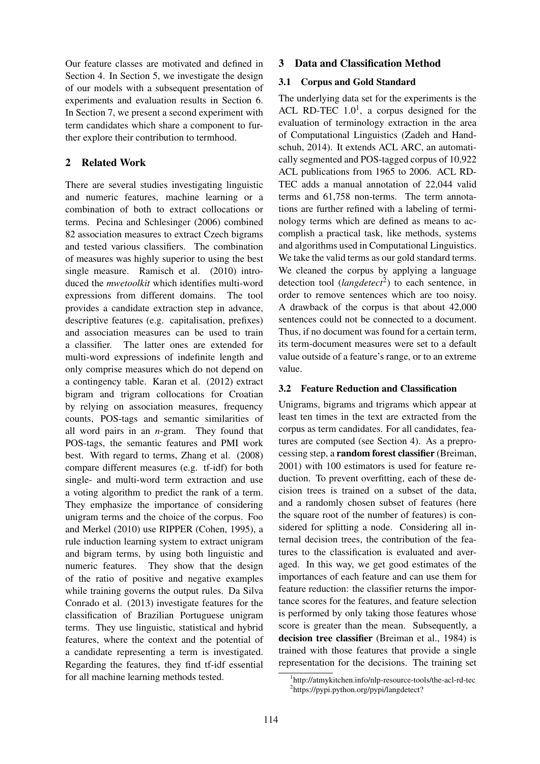Our feature classes are motivated and defined in Section 4. In Section 5, we investigate the design of our models with a subsequent presentation of experiments and evaluation results in Section 6. In Section 7, we present a second experiment with term candidates which share a component to further explore their contribution to termhood.

# 2 Related Work

There are several studies investigating linguistic and numeric features, machine learning or a combination of both to extract collocations or terms. Pecina and Schlesinger (2006) combined 82 association measures to extract Czech bigrams and tested various classifiers. The combination of measures was highly superior to using the best single measure. Ramisch et al. (2010) introduced the *mwetoolkit* which identifies multi-word expressions from different domains. The tool provides a candidate extraction step in advance, descriptive features (e.g. capitalisation, prefixes) and association measures can be used to train a classifier. The latter ones are extended for multi-word expressions of indefinite length and only comprise measures which do not depend on a contingency table. Karan et al. (2012) extract bigram and trigram collocations for Croatian by relying on association measures, frequency counts, POS-tags and semantic similarities of all word pairs in an *n*-gram. They found that POS-tags, the semantic features and PMI work best. With regard to terms, Zhang et al. (2008) compare different measures (e.g. tf-idf) for both single- and multi-word term extraction and use a voting algorithm to predict the rank of a term. They emphasize the importance of considering unigram terms and the choice of the corpus. Foo and Merkel (2010) use RIPPER (Cohen, 1995), a rule induction learning system to extract unigram and bigram terms, by using both linguistic and numeric features. They show that the design of the ratio of positive and negative examples while training governs the output rules. Da Silva Conrado et al. (2013) investigate features for the classification of Brazilian Portuguese unigram terms. They use linguistic, statistical and hybrid features, where the context and the potential of a candidate representing a term is investigated. Regarding the features, they find tf-idf essential for all machine learning methods tested.

# 3 Data and Classification Method

### 3.1 Corpus and Gold Standard

The underlying data set for the experiments is the ACL RD-TEC  $1.0<sup>1</sup>$ , a corpus designed for the evaluation of terminology extraction in the area of Computational Linguistics (Zadeh and Handschuh, 2014). It extends ACL ARC, an automatically segmented and POS-tagged corpus of 10,922 ACL publications from 1965 to 2006. ACL RD-TEC adds a manual annotation of 22,044 valid terms and 61,758 non-terms. The term annotations are further refined with a labeling of terminology terms which are defined as means to accomplish a practical task, like methods, systems and algorithms used in Computational Linguistics. We take the valid terms as our gold standard terms. We cleaned the corpus by applying a language detection tool (*langdetect*<sup>2</sup>) to each sentence, in order to remove sentences which are too noisy. A drawback of the corpus is that about 42,000 sentences could not be connected to a document. Thus, if no document was found for a certain term, its term-document measures were set to a default value outside of a feature's range, or to an extreme value.

# 3.2 Feature Reduction and Classification

Unigrams, bigrams and trigrams which appear at least ten times in the text are extracted from the corpus as term candidates. For all candidates, features are computed (see Section 4). As a preprocessing step, a random forest classifier (Breiman, 2001) with 100 estimators is used for feature reduction. To prevent overfitting, each of these decision trees is trained on a subset of the data, and a randomly chosen subset of features (here the square root of the number of features) is considered for splitting a node. Considering all internal decision trees, the contribution of the features to the classification is evaluated and averaged. In this way, we get good estimates of the importances of each feature and can use them for feature reduction: the classifier returns the importance scores for the features, and feature selection is performed by only taking those features whose score is greater than the mean. Subsequently, a decision tree classifier (Breiman et al., 1984) is trained with those features that provide a single representation for the decisions. The training set

<sup>1</sup> http://atmykitchen.info/nlp-resource-tools/the-acl-rd-tec 2 https://pypi.python.org/pypi/langdetect?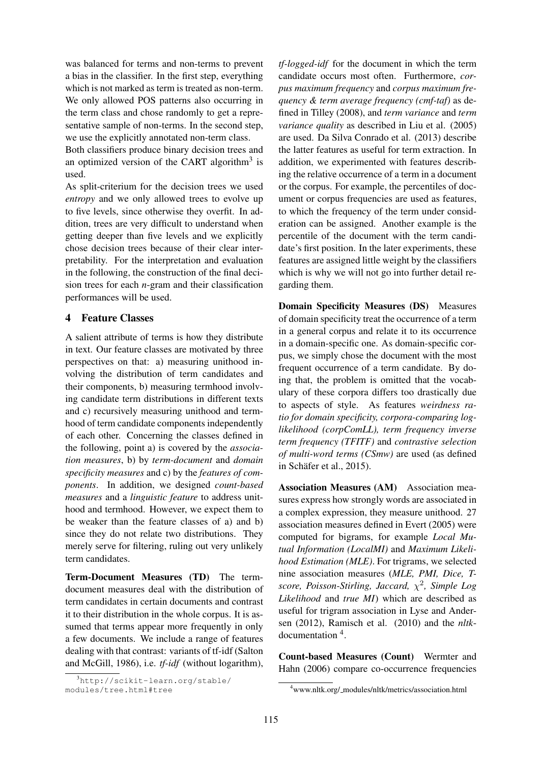was balanced for terms and non-terms to prevent a bias in the classifier. In the first step, everything which is not marked as term is treated as non-term. We only allowed POS patterns also occurring in the term class and chose randomly to get a representative sample of non-terms. In the second step, we use the explicitly annotated non-term class.

Both classifiers produce binary decision trees and an optimized version of the CART algorithm<sup>3</sup> is used.

As split-criterium for the decision trees we used *entropy* and we only allowed trees to evolve up to five levels, since otherwise they overfit. In addition, trees are very difficult to understand when getting deeper than five levels and we explicitly chose decision trees because of their clear interpretability. For the interpretation and evaluation in the following, the construction of the final decision trees for each *n*-gram and their classification performances will be used.

# 4 Feature Classes

A salient attribute of terms is how they distribute in text. Our feature classes are motivated by three perspectives on that: a) measuring unithood involving the distribution of term candidates and their components, b) measuring termhood involving candidate term distributions in different texts and c) recursively measuring unithood and termhood of term candidate components independently of each other. Concerning the classes defined in the following, point a) is covered by the *association measures*, b) by *term-document* and *domain specificity measures* and c) by the *features of components*. In addition, we designed *count-based measures* and a *linguistic feature* to address unithood and termhood. However, we expect them to be weaker than the feature classes of a) and b) since they do not relate two distributions. They merely serve for filtering, ruling out very unlikely term candidates.

Term-Document Measures (TD) The termdocument measures deal with the distribution of term candidates in certain documents and contrast it to their distribution in the whole corpus. It is assumed that terms appear more frequently in only a few documents. We include a range of features dealing with that contrast: variants of tf-idf (Salton and McGill, 1986), i.e. *tf-idf* (without logarithm),

*tf-logged-idf* for the document in which the term candidate occurs most often. Furthermore, *corpus maximum frequency* and *corpus maximum frequency & term average frequency (cmf-taf)* as defined in Tilley (2008), and *term variance* and *term variance quality* as described in Liu et al. (2005) are used. Da Silva Conrado et al. (2013) describe the latter features as useful for term extraction. In addition, we experimented with features describing the relative occurrence of a term in a document or the corpus. For example, the percentiles of document or corpus frequencies are used as features, to which the frequency of the term under consideration can be assigned. Another example is the percentile of the document with the term candidate's first position. In the later experiments, these features are assigned little weight by the classifiers which is why we will not go into further detail regarding them.

Domain Specificity Measures (DS) Measures of domain specificity treat the occurrence of a term in a general corpus and relate it to its occurrence in a domain-specific one. As domain-specific corpus, we simply chose the document with the most frequent occurrence of a term candidate. By doing that, the problem is omitted that the vocabulary of these corpora differs too drastically due to aspects of style. As features *weirdness ratio for domain specificity, corpora-comparing loglikelihood (corpComLL), term frequency inverse term frequency (TFITF)* and *contrastive selection of multi-word terms (CSmw)* are used (as defined in Schäfer et al., 2015).

Association Measures (AM) Association measures express how strongly words are associated in a complex expression, they measure unithood. 27 association measures defined in Evert (2005) were computed for bigrams, for example *Local Mutual Information (LocalMI)* and *Maximum Likelihood Estimation (MLE)*. For trigrams, we selected nine association measures (*MLE, PMI, Dice, Tscore, Poisson-Stirling, Jaccard,* χ 2 *, Simple Log Likelihood* and *true MI*) which are described as useful for trigram association in Lyse and Andersen (2012), Ramisch et al. (2010) and the *nltk*documentation <sup>4</sup> .

Count-based Measures (Count) Wermter and Hahn (2006) compare co-occurrence frequencies

<sup>3</sup>http://scikit-learn.org/stable/ modules/tree.html#tree

<sup>4</sup>www.nltk.org/ modules/nltk/metrics/association.html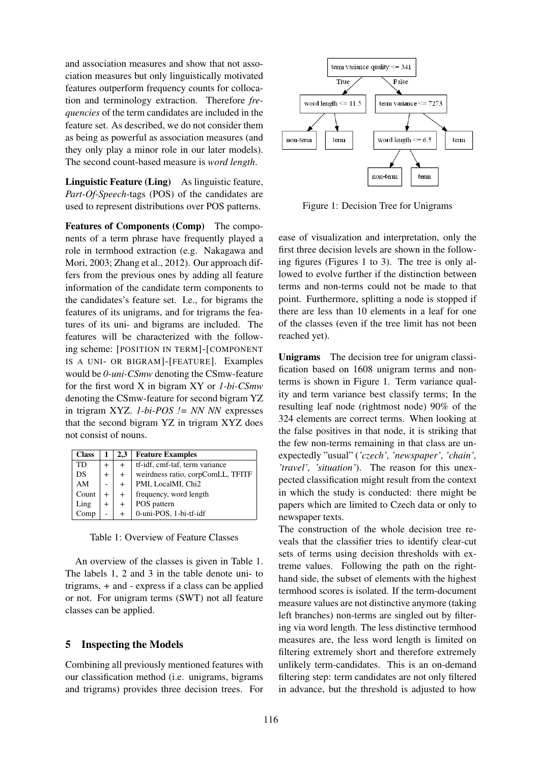and association measures and show that not association measures but only linguistically motivated features outperform frequency counts for collocation and terminology extraction. Therefore *frequencies* of the term candidates are included in the feature set. As described, we do not consider them as being as powerful as association measures (and they only play a minor role in our later models). The second count-based measure is *word length*.

Linguistic Feature (Ling) As linguistic feature, *Part-Of-Speech*-tags (POS) of the candidates are used to represent distributions over POS patterns.

Features of Components (Comp) The components of a term phrase have frequently played a role in termhood extraction (e.g. Nakagawa and Mori, 2003; Zhang et al., 2012). Our approach differs from the previous ones by adding all feature information of the candidate term components to the candidates's feature set. I.e., for bigrams the features of its unigrams, and for trigrams the features of its uni- and bigrams are included. The features will be characterized with the following scheme: [POSITION IN TERM]-[COMPONENT IS A UNI- OR BIGRAM]-[FEATURE]. Examples would be *0-uni-CSmw* denoting the CSmw-feature for the first word X in bigram XY or *1-bi-CSmw* denoting the CSmw-feature for second bigram YZ in trigram XYZ. *1-bi-POS != NN NN* expresses that the second bigram YZ in trigram XYZ does not consist of nouns.

| <b>Class</b> |           | 2.3       | <b>Feature Examples</b>           |
|--------------|-----------|-----------|-----------------------------------|
| <b>TD</b>    | $\ddot{}$ | $\pm$     | tf-idf, cmf-taf, term variance    |
| DS           | $\pm$     | $^{+}$    | weirdness ratio, corpComLL, TFITF |
| AM           |           | $+$       | PMI, LocalMI, Chi2                |
| Count        | $^{+}$    | $+$       | frequency, word length            |
| Ling         | $+$       | $^{+}$    | POS pattern                       |
| Comp         |           | $\ddot{}$ | 0-uni-POS, 1-bi-tf-idf            |

Table 1: Overview of Feature Classes

An overview of the classes is given in Table 1. The labels 1, 2 and 3 in the table denote uni- to trigrams, *+* and *-* express if a class can be applied or not. For unigram terms (SWT) not all feature classes can be applied.

# 5 Inspecting the Models

Combining all previously mentioned features with our classification method (i.e. unigrams, bigrams and trigrams) provides three decision trees. For



Figure 1: Decision Tree for Unigrams

ease of visualization and interpretation, only the first three decision levels are shown in the following figures (Figures 1 to 3). The tree is only allowed to evolve further if the distinction between terms and non-terms could not be made to that point. Furthermore, splitting a node is stopped if there are less than 10 elements in a leaf for one of the classes (even if the tree limit has not been reached yet).

Unigrams The decision tree for unigram classification based on 1608 unigram terms and nonterms is shown in Figure 1. Term variance quality and term variance best classify terms; In the resulting leaf node (rightmost node) 90% of the 324 elements are correct terms. When looking at the false positives in that node, it is striking that the few non-terms remaining in that class are unexpectedly "usual" (*'czech', 'newspaper', 'chain', 'travel', 'situation'*). The reason for this unexpected classification might result from the context in which the study is conducted: there might be papers which are limited to Czech data or only to newspaper texts.

The construction of the whole decision tree reveals that the classifier tries to identify clear-cut sets of terms using decision thresholds with extreme values. Following the path on the righthand side, the subset of elements with the highest termhood scores is isolated. If the term-document measure values are not distinctive anymore (taking left branches) non-terms are singled out by filtering via word length. The less distinctive termhood measures are, the less word length is limited on filtering extremely short and therefore extremely unlikely term-candidates. This is an on-demand filtering step: term candidates are not only filtered in advance, but the threshold is adjusted to how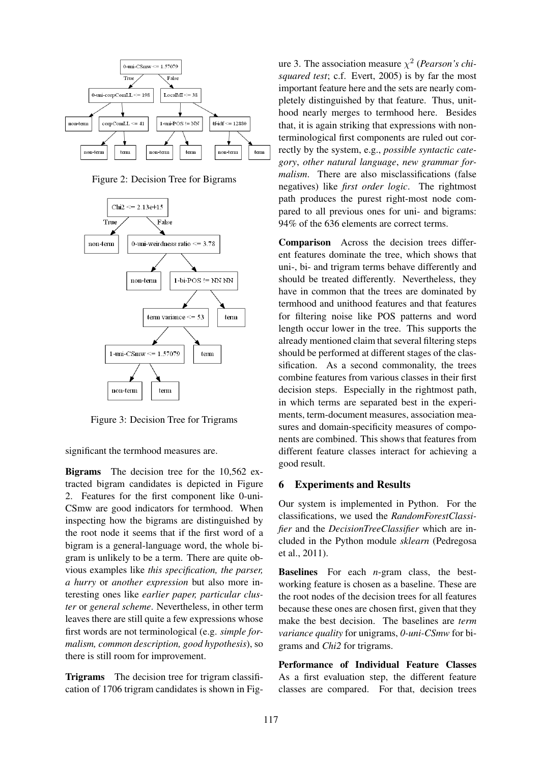

Figure 2: Decision Tree for Bigrams



Figure 3: Decision Tree for Trigrams

significant the termhood measures are.

Bigrams The decision tree for the 10,562 extracted bigram candidates is depicted in Figure 2. Features for the first component like 0-uni-CSmw are good indicators for termhood. When inspecting how the bigrams are distinguished by the root node it seems that if the first word of a bigram is a general-language word, the whole bigram is unlikely to be a term. There are quite obvious examples like *this specification, the parser, a hurry* or *another expression* but also more interesting ones like *earlier paper, particular cluster* or *general scheme*. Nevertheless, in other term leaves there are still quite a few expressions whose first words are not terminological (e.g. *simple formalism, common description, good hypothesis*), so there is still room for improvement.

Trigrams The decision tree for trigram classification of 1706 trigram candidates is shown in Fig-

ure 3. The association measure  $\chi^2$  (*Pearson's chisquared test*; c.f. Evert, 2005) is by far the most important feature here and the sets are nearly completely distinguished by that feature. Thus, unithood nearly merges to termhood here. Besides that, it is again striking that expressions with nonterminological first components are ruled out correctly by the system, e.g., *possible syntactic category*, *other natural language*, *new grammar formalism*. There are also misclassifications (false negatives) like *first order logic*. The rightmost path produces the purest right-most node compared to all previous ones for uni- and bigrams: 94% of the 636 elements are correct terms.

Comparison Across the decision trees different features dominate the tree, which shows that uni-, bi- and trigram terms behave differently and should be treated differently. Nevertheless, they have in common that the trees are dominated by termhood and unithood features and that features for filtering noise like POS patterns and word length occur lower in the tree. This supports the already mentioned claim that several filtering steps should be performed at different stages of the classification. As a second commonality, the trees combine features from various classes in their first decision steps. Especially in the rightmost path, in which terms are separated best in the experiments, term-document measures, association measures and domain-specificity measures of components are combined. This shows that features from different feature classes interact for achieving a good result.

### 6 Experiments and Results

Our system is implemented in Python. For the classifications, we used the *RandomForestClassifier* and the *DecisionTreeClassifier* which are included in the Python module *sklearn* (Pedregosa et al., 2011).

Baselines For each *n*-gram class, the bestworking feature is chosen as a baseline. These are the root nodes of the decision trees for all features because these ones are chosen first, given that they make the best decision. The baselines are *term variance quality* for unigrams, *0-uni-CSmw* for bigrams and *Chi2* for trigrams.

Performance of Individual Feature Classes As a first evaluation step, the different feature classes are compared. For that, decision trees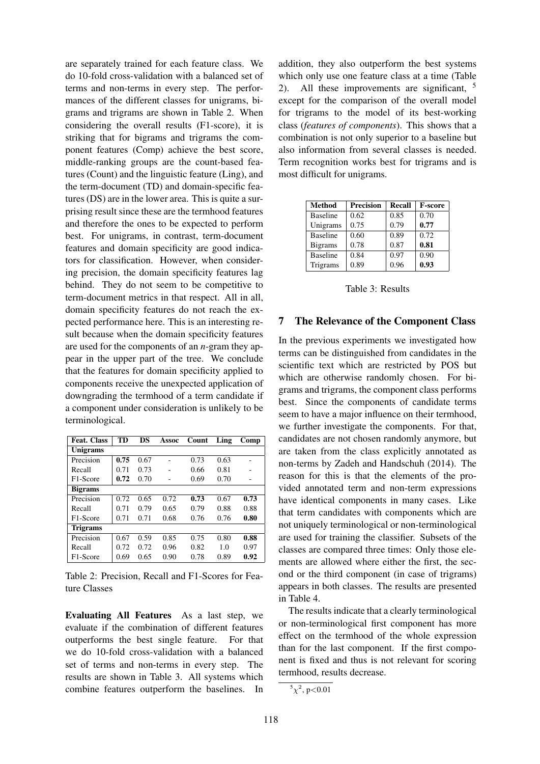are separately trained for each feature class. We do 10-fold cross-validation with a balanced set of terms and non-terms in every step. The performances of the different classes for unigrams, bigrams and trigrams are shown in Table 2. When considering the overall results (F1-score), it is striking that for bigrams and trigrams the component features (Comp) achieve the best score, middle-ranking groups are the count-based features (Count) and the linguistic feature (Ling), and the term-document (TD) and domain-specific features (DS) are in the lower area. This is quite a surprising result since these are the termhood features and therefore the ones to be expected to perform best. For unigrams, in contrast, term-document features and domain specificity are good indicators for classification. However, when considering precision, the domain specificity features lag behind. They do not seem to be competitive to term-document metrics in that respect. All in all, domain specificity features do not reach the expected performance here. This is an interesting result because when the domain specificity features are used for the components of an *n*-gram they appear in the upper part of the tree. We conclude that the features for domain specificity applied to components receive the unexpected application of downgrading the termhood of a term candidate if a component under consideration is unlikely to be terminological.

| <b>Feat. Class</b> | TD   | DS   | Assoc | Count | Ling | Comp |  |
|--------------------|------|------|-------|-------|------|------|--|
| <b>Unigrams</b>    |      |      |       |       |      |      |  |
| Precision          | 0.75 | 0.67 |       | 0.73  | 0.63 |      |  |
| Recall             | 0.71 | 0.73 |       | 0.66  | 0.81 |      |  |
| F1-Score           | 0.72 | 0.70 |       | 0.69  | 0.70 | -    |  |
| <b>Bigrams</b>     |      |      |       |       |      |      |  |
| Precision          | 0.72 | 0.65 | 0.72  | 0.73  | 0.67 | 0.73 |  |
| Recall             | 0.71 | 0.79 | 0.65  | 0.79  | 0.88 | 0.88 |  |
| F1-Score           | 0.71 | 0.71 | 0.68  | 0.76  | 0.76 | 0.80 |  |
| <b>Trigrams</b>    |      |      |       |       |      |      |  |
| Precision          | 0.67 | 0.59 | 0.85  | 0.75  | 0.80 | 0.88 |  |
| Recall             | 0.72 | 0.72 | 0.96  | 0.82  | 1.0  | 0.97 |  |
| F1-Score           | 0.69 | 0.65 | 0.90  | 0.78  | 0.89 | 0.92 |  |

Table 2: Precision, Recall and F1-Scores for Feature Classes

Evaluating All Features As a last step, we evaluate if the combination of different features outperforms the best single feature. For that we do 10-fold cross-validation with a balanced set of terms and non-terms in every step. The results are shown in Table 3. All systems which combine features outperform the baselines. In

addition, they also outperform the best systems which only use one feature class at a time (Table 2). All these improvements are significant,  $5$ except for the comparison of the overall model for trigrams to the model of its best-working class (*features of components*). This shows that a combination is not only superior to a baseline but also information from several classes is needed. Term recognition works best for trigrams and is most difficult for unigrams.

| <b>Method</b>   | Precision | Recall | <b>F-score</b> |
|-----------------|-----------|--------|----------------|
| <b>Baseline</b> | 0.62      | 0.85   | 0.70           |
| Unigrams        | 0.75      | 0.79   | 0.77           |
| <b>Baseline</b> | 0.60      | 0.89   | 0.72           |
| <b>Bigrams</b>  | 0.78      | 0.87   | 0.81           |
| <b>Baseline</b> | 0.84      | 0.97   | 0.90           |
| Trigrams        | 0.89      | 0.96   | 0.93           |

Table 3: Results

### 7 The Relevance of the Component Class

In the previous experiments we investigated how terms can be distinguished from candidates in the scientific text which are restricted by POS but which are otherwise randomly chosen. For bigrams and trigrams, the component class performs best. Since the components of candidate terms seem to have a major influence on their termhood, we further investigate the components. For that, candidates are not chosen randomly anymore, but are taken from the class explicitly annotated as non-terms by Zadeh and Handschuh (2014). The reason for this is that the elements of the provided annotated term and non-term expressions have identical components in many cases. Like that term candidates with components which are not uniquely terminological or non-terminological are used for training the classifier. Subsets of the classes are compared three times: Only those elements are allowed where either the first, the second or the third component (in case of trigrams) appears in both classes. The results are presented in Table 4.

The results indicate that a clearly terminological or non-terminological first component has more effect on the termhood of the whole expression than for the last component. If the first component is fixed and thus is not relevant for scoring termhood, results decrease.

 ${}^5\chi^2$ , p<0.01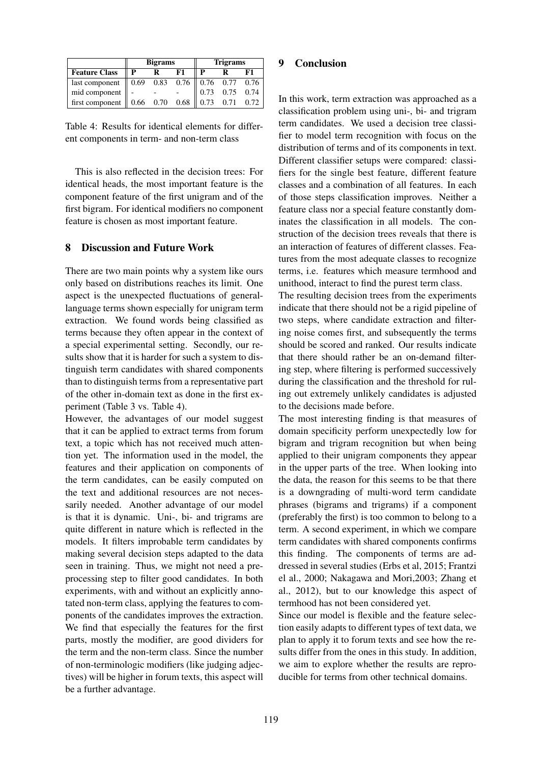|                                                                      | <b>Bigrams</b> |                  |    | <b>Trigrams</b> |                      |    |
|----------------------------------------------------------------------|----------------|------------------|----|-----------------|----------------------|----|
| <b>Feature Class</b>                                                 | $\mathbf{P}$   |                  | F1 | P               |                      | F1 |
| last component $\parallel$ 0.69 0.83 0.76 $\parallel$ 0.76 0.77 0.76 |                |                  |    |                 |                      |    |
| mid component $\ $ -                                                 |                |                  |    |                 | $0.73$ 0.75 0.74     |    |
| first component $\parallel$                                          |                | $0.66$ 0.70 0.68 |    |                 | $0.73$ $0.71$ $0.72$ |    |

Table 4: Results for identical elements for different components in term- and non-term class

This is also reflected in the decision trees: For identical heads, the most important feature is the component feature of the first unigram and of the first bigram. For identical modifiers no component feature is chosen as most important feature.

### 8 Discussion and Future Work

There are two main points why a system like ours only based on distributions reaches its limit. One aspect is the unexpected fluctuations of generallanguage terms shown especially for unigram term extraction. We found words being classified as terms because they often appear in the context of a special experimental setting. Secondly, our results show that it is harder for such a system to distinguish term candidates with shared components than to distinguish terms from a representative part of the other in-domain text as done in the first experiment (Table 3 vs. Table 4).

However, the advantages of our model suggest that it can be applied to extract terms from forum text, a topic which has not received much attention yet. The information used in the model, the features and their application on components of the term candidates, can be easily computed on the text and additional resources are not necessarily needed. Another advantage of our model is that it is dynamic. Uni-, bi- and trigrams are quite different in nature which is reflected in the models. It filters improbable term candidates by making several decision steps adapted to the data seen in training. Thus, we might not need a preprocessing step to filter good candidates. In both experiments, with and without an explicitly annotated non-term class, applying the features to components of the candidates improves the extraction. We find that especially the features for the first parts, mostly the modifier, are good dividers for the term and the non-term class. Since the number of non-terminologic modifiers (like judging adjectives) will be higher in forum texts, this aspect will be a further advantage.

### 9 Conclusion

In this work, term extraction was approached as a classification problem using uni-, bi- and trigram term candidates. We used a decision tree classifier to model term recognition with focus on the distribution of terms and of its components in text. Different classifier setups were compared: classifiers for the single best feature, different feature classes and a combination of all features. In each of those steps classification improves. Neither a feature class nor a special feature constantly dominates the classification in all models. The construction of the decision trees reveals that there is an interaction of features of different classes. Features from the most adequate classes to recognize terms, i.e. features which measure termhood and unithood, interact to find the purest term class.

The resulting decision trees from the experiments indicate that there should not be a rigid pipeline of two steps, where candidate extraction and filtering noise comes first, and subsequently the terms should be scored and ranked. Our results indicate that there should rather be an on-demand filtering step, where filtering is performed successively during the classification and the threshold for ruling out extremely unlikely candidates is adjusted to the decisions made before.

The most interesting finding is that measures of domain specificity perform unexpectedly low for bigram and trigram recognition but when being applied to their unigram components they appear in the upper parts of the tree. When looking into the data, the reason for this seems to be that there is a downgrading of multi-word term candidate phrases (bigrams and trigrams) if a component (preferably the first) is too common to belong to a term. A second experiment, in which we compare term candidates with shared components confirms this finding. The components of terms are addressed in several studies (Erbs et al, 2015; Frantzi el al., 2000; Nakagawa and Mori,2003; Zhang et al., 2012), but to our knowledge this aspect of termhood has not been considered yet.

Since our model is flexible and the feature selection easily adapts to different types of text data, we plan to apply it to forum texts and see how the results differ from the ones in this study. In addition, we aim to explore whether the results are reproducible for terms from other technical domains.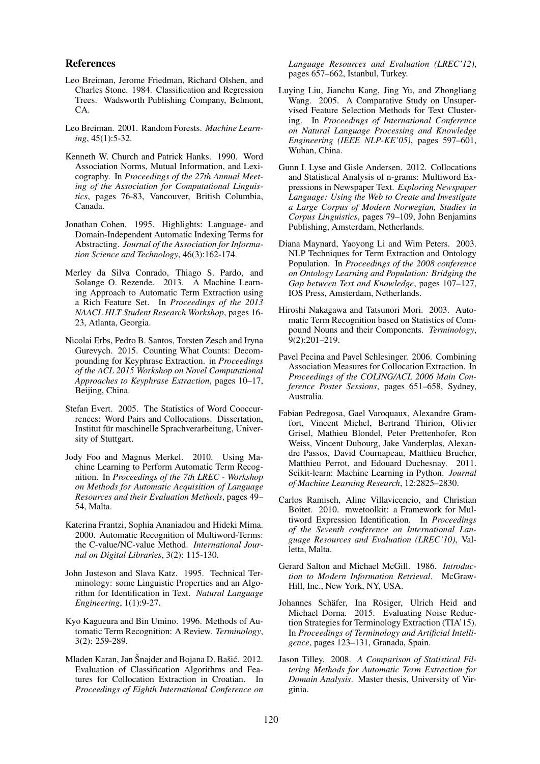#### References

- Leo Breiman, Jerome Friedman, Richard Olshen, and Charles Stone. 1984. Classification and Regression Trees. Wadsworth Publishing Company, Belmont, CA.
- Leo Breiman. 2001. Random Forests. *Machine Learning*, 45(1):5-32.
- Kenneth W. Church and Patrick Hanks. 1990. Word Association Norms, Mutual Information, and Lexicography. In *Proceedings of the 27th Annual Meeting of the Association for Computational Linguistics*, pages 76-83, Vancouver, British Columbia, Canada.
- Jonathan Cohen. 1995. Highlights: Language- and Domain-Independent Automatic Indexing Terms for Abstracting. *Journal of the Association for Information Science and Technology*, 46(3):162-174.
- Merley da Silva Conrado, Thiago S. Pardo, and Solange O. Rezende. 2013. A Machine Learning Approach to Automatic Term Extraction using a Rich Feature Set. In *Proceedings of the 2013 NAACL HLT Student Research Workshop*, pages 16- 23, Atlanta, Georgia.
- Nicolai Erbs, Pedro B. Santos, Torsten Zesch and Iryna Gurevych. 2015. Counting What Counts: Decompounding for Keyphrase Extraction. in *Proceedings of the ACL 2015 Workshop on Novel Computational Approaches to Keyphrase Extraction*, pages 10–17, Beijing, China.
- Stefan Evert. 2005. The Statistics of Word Cooccurrences: Word Pairs and Collocations. Dissertation, Institut für maschinelle Sprachverarbeitung, University of Stuttgart.
- Jody Foo and Magnus Merkel. 2010. Using Machine Learning to Perform Automatic Term Recognition. In *Proceedings of the 7th LREC - Workshop on Methods for Automatic Acquisition of Language Resources and their Evaluation Methods*, pages 49– 54, Malta.
- Katerina Frantzi, Sophia Ananiadou and Hideki Mima. 2000. Automatic Recognition of Multiword-Terms: the C-value/NC-value Method. *International Journal on Digital Libraries*, 3(2): 115-130.
- John Justeson and Slava Katz. 1995. Technical Terminology: some Linguistic Properties and an Algorithm for Identification in Text. *Natural Language Engineering*, 1(1):9-27.
- Kyo Kagueura and Bin Umino. 1996. Methods of Automatic Term Recognition: A Review. *Terminology*, 3(2): 259-289.
- Mladen Karan, Jan Šnajder and Bojana D. Bašić. 2012. Evaluation of Classification Algorithms and Features for Collocation Extraction in Croatian. In *Proceedings of Eighth International Conference on*

*Language Resources and Evaluation (LREC'12)*, pages 657–662, Istanbul, Turkey.

- Luying Liu, Jianchu Kang, Jing Yu, and Zhongliang Wang. 2005. A Comparative Study on Unsupervised Feature Selection Methods for Text Clustering. In *Proceedings of International Conference on Natural Language Processing and Knowledge Engineering (IEEE NLP-KE'05)*, pages 597–601, Wuhan, China.
- Gunn I. Lyse and Gisle Andersen. 2012. Collocations and Statistical Analysis of n-grams: Multiword Expressions in Newspaper Text. *Exploring Newspaper Language: Using the Web to Create and Investigate a Large Corpus of Modern Norwegian, Studies in Corpus Linguistics*, pages 79–109, John Benjamins Publishing, Amsterdam, Netherlands.
- Diana Maynard, Yaoyong Li and Wim Peters. 2003. NLP Techniques for Term Extraction and Ontology Population. In *Proceedings of the 2008 conference on Ontology Learning and Population: Bridging the Gap between Text and Knowledge*, pages 107–127, IOS Press, Amsterdam, Netherlands.
- Hiroshi Nakagawa and Tatsunori Mori. 2003. Automatic Term Recognition based on Statistics of Compound Nouns and their Components. *Terminology*, 9(2):201–219.
- Pavel Pecina and Pavel Schlesinger. 2006. Combining Association Measures for Collocation Extraction. In *Proceedings of the COLING/ACL 2006 Main Conference Poster Sessions*, pages 651–658, Sydney, Australia.
- Fabian Pedregosa, Gael Varoquaux, Alexandre Gramfort, Vincent Michel, Bertrand Thirion, Olivier Grisel, Mathieu Blondel, Peter Prettenhofer, Ron Weiss, Vincent Dubourg, Jake Vanderplas, Alexandre Passos, David Cournapeau, Matthieu Brucher, Matthieu Perrot, and Edouard Duchesnay. 2011. Scikit-learn: Machine Learning in Python. *Journal of Machine Learning Research*, 12:2825–2830.
- Carlos Ramisch, Aline Villavicencio, and Christian Boitet. 2010. mwetoolkit: a Framework for Multiword Expression Identification. In *Proceedings of the Seventh conference on International Language Resources and Evaluation (LREC'10)*, Valletta, Malta.
- Gerard Salton and Michael McGill. 1986. *Introduction to Modern Information Retrieval*. McGraw-Hill, Inc., New York, NY, USA.
- Johannes Schäfer, Ina Rösiger, Ulrich Heid and Michael Dorna. 2015. Evaluating Noise Reduction Strategies for Terminology Extraction (TIA'15). In *Proceedings of Terminology and Artificial Intelligence*, pages 123–131, Granada, Spain.
- Jason Tilley. 2008. *A Comparison of Statistical Filtering Methods for Automatic Term Extraction for Domain Analysis*. Master thesis, University of Virginia.